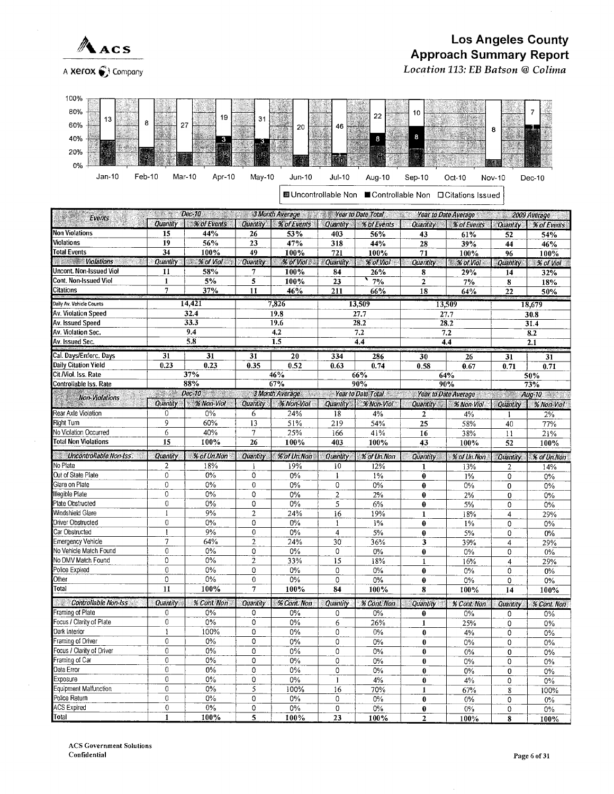

## **Los Angeles County Approach Summary Report** Location 113: EB Batson @ Colima



■ Uncontrollable Non ■ Controllable Non □ Citations Issued

| <b>Excess Pec-10 Containers Containers 3 Month Average</b> 2012 <b>Year to Date Total</b><br><b>Year to Date Average</b><br>2009 Average<br><u> Martin</u><br>Events |                  |                           |                 |                                    |                 |                                    |                      |                               |                 |                    |  |
|----------------------------------------------------------------------------------------------------------------------------------------------------------------------|------------------|---------------------------|-----------------|------------------------------------|-----------------|------------------------------------|----------------------|-------------------------------|-----------------|--------------------|--|
|                                                                                                                                                                      |                  | Quantity \ % of Events    | Quantity        | <b><i>% of Events</i></b>          | <b>Quantity</b> | $\overline{\mathcal{H}}$ of Events | Quantity             | % of Events                   | Quantity        | % of Events        |  |
| <b>Non Violations</b>                                                                                                                                                | 15               | 44%                       | 26              | 53%                                | 403             | 56%                                | 43                   | 61%                           | 52              | 54%                |  |
| <b>Violations</b>                                                                                                                                                    | $\overline{19}$  | 56%                       | 23              | 47%                                | 318             | 44%                                | 28                   | 39%                           | 44              | 46%                |  |
| <b>Total Events</b>                                                                                                                                                  | 34               | 100%                      | 49              | 100%                               | 721             | 100%                               | 71                   | 100%                          | 96              | 100%               |  |
| <b>Wolations</b>                                                                                                                                                     | Quantity         | $\mathscr{C}$ . % of Viol | <b>Quantity</b> | <b>% of Viol 200</b>               | <b>Quantity</b> | $%$ of Viol                        | Quantity             | <b>% of Viol</b>              | <b>Quantity</b> | % of Viol          |  |
| Uncont. Non-Issued Viol                                                                                                                                              | 11               | 58%                       | 7               | 100%                               | 84              | 26%                                | 8                    | 29%                           | 14              | 32%                |  |
| Cont. Non-Issued Viol                                                                                                                                                | $\mathbf{1}$     | 5%                        | 5               | 100%                               | 23              | 7%                                 | $\overline{2}$       | 7%                            | 8               | 18%                |  |
| Citations                                                                                                                                                            | $\overline{7}$   | 37%                       | 11              | 46%                                | 211             | 66%                                | 18                   | 64%                           | 22              | 50%                |  |
| Daily Av. Vehicle Counts                                                                                                                                             |                  | 14.421                    | 7,826           |                                    |                 | 13,509                             |                      | 13,509                        | 18,679          |                    |  |
| Av. Violation Speed                                                                                                                                                  | 32.4             |                           |                 | 19.8                               | 27.7            |                                    |                      | 27.7                          | 30.8            |                    |  |
| Av. Issued Speed                                                                                                                                                     |                  | 33.3                      |                 | 19.6                               |                 | 28.2                               |                      | 28.2                          |                 | 31.4               |  |
| Av. Violation Sec.                                                                                                                                                   |                  | 9.4                       |                 | $\overline{4.2}$                   |                 | 7.2                                |                      | 7.2                           |                 | 8.2                |  |
| Av. Issued Sec.                                                                                                                                                      |                  | 5.8                       |                 | 1.5                                |                 | 4,4                                |                      | 4.4                           |                 | 2.1                |  |
| Cal. Days/Enforc. Days                                                                                                                                               | 31               | 31                        | 31              | 20                                 |                 |                                    |                      |                               |                 |                    |  |
| Daily Citation Yield                                                                                                                                                 | 0.23             | 0.23                      | 0.35            | 0.52                               | 334<br>0.63     | 286<br>0.74                        | 30<br>0.58           | $\overline{26}$<br>0.67       | $\overline{31}$ | 31                 |  |
| Cit /Viol. Iss. Rate                                                                                                                                                 |                  | 37%                       |                 | 46%                                |                 | 66%                                |                      | 64%                           | 0.71            | 0.71<br>50%        |  |
| Controllable Iss. Rate                                                                                                                                               |                  | 88%                       |                 | 67%                                |                 | 90%                                |                      | 90%                           |                 | 73%                |  |
|                                                                                                                                                                      |                  | Dec-10<br>an an           |                 | 3 Month Average Vear to Date Total |                 |                                    |                      | Year to Date Average New Year |                 | $Aug-10$           |  |
| Non-Violations                                                                                                                                                       | Quantity         | % Non-Viol                | <b>Quantity</b> | <b>% Non-Viol</b>                  |                 | Quantity \ % Non-Viol              | Quantity             | % Non-Viol                    | Quantity        | % Non-Viol         |  |
| Rear Axle Violation                                                                                                                                                  | $\mathbf{0}$     | $0\%$                     | 6               | 24%                                | 18              | 4%                                 | $\mathbf{2}$         | 4%                            |                 | 2%                 |  |
| Right Turn                                                                                                                                                           | 9                | 60%                       | 13              | 51%                                | 219             | 54%                                | 25                   | 58%                           | 40              | 77%                |  |
| No Violation Occurred                                                                                                                                                | 6                | 40%                       | $\overline{7}$  | 25%                                | 166             | 41%                                | 16                   | 38%                           | 11              | 21%                |  |
| <b>Total Non Violations</b>                                                                                                                                          | 15               | 100%                      | 26              | 100%                               | 403             | 100%                               | 43                   | 100%                          | 52              | 100%               |  |
| Uncontrollable Non-Iss                                                                                                                                               | Quantity         | $%$ of Un.Non             | <b>Quantity</b> | % of Un.Non                        | Quantity        | % of Un.Non                        |                      |                               |                 |                    |  |
| No Plate                                                                                                                                                             | $\overline{2}$   | 18%                       | -1              | 19%                                | 10              | 12%                                | <b>Quantity</b><br>1 | % of Un.Non<br>13%            | Quantity        | % of Un.Non<br>14% |  |
| Out of State Plate                                                                                                                                                   | $\boldsymbol{0}$ | $0\%$                     | 0               | $0\%$                              | $\mathbf{1}$    | $1\%$                              | $\bf{0}$             | $1\%$                         | 2<br>0          | $0\%$              |  |
| Glare on Plate                                                                                                                                                       | $\mathbf 0$      | 0%                        | $\mathbf 0$     | 0%                                 | 0               | 0%                                 | $\bf{0}$             | 0%                            | 0               | $0\%$              |  |
| Illegible Plate                                                                                                                                                      | $\mathbf{0}$     | 0%                        | 0               | 0%                                 | $\overline{2}$  | 2%                                 | $\bf{0}$             | 2%                            | 0               | 0%                 |  |
| Plate Obstructed                                                                                                                                                     | $\mathbf{0}$     | 0%                        | 0               | 0%                                 | 5               | 6%                                 | 0                    | 5%                            | 0               | 0%                 |  |
| Windshield Glare                                                                                                                                                     | $\mathbf{1}$     | 9%                        | $\overline{2}$  | 24%                                | 16              | 19%                                | $\mathbf{1}$         | 18%                           | 4               | 29%                |  |
| <b>Driver Obstructed</b>                                                                                                                                             | $\mathbf{0}$     | 0%                        | $\overline{0}$  | $0\%$                              | $\mathbf{1}$    | 1%                                 | 0                    | 1%                            | 0               | 0%                 |  |
| Car Obstructed                                                                                                                                                       | $\mathbf{I}$     | 9%                        | $\mathbf 0$     | 0%                                 | 4               | 5%                                 | $\bf{0}$             | 5%                            | 0               | $0\%$              |  |
| <b>Emergency Vehicle</b>                                                                                                                                             | $\overline{7}$   | 64%                       | $\overline{2}$  | 24%                                | 30              | 36%                                | 3                    | 39%                           | 4               | 29%                |  |
| No Vehicle Match Found                                                                                                                                               | $\boldsymbol{0}$ | 0%                        | 0               | 0%                                 | 0               | $0\%$                              | 0                    | 0%                            | 0               | 0%                 |  |
| No DMV Match Found                                                                                                                                                   | $\overline{0}$   | 0%                        | $\overline{2}$  | 33%                                | 15              | 18%                                | $\mathbf{1}$         | 16%                           | $\overline{4}$  | 29%                |  |
| Police Expired                                                                                                                                                       | $\mathbf{0}$     | 0%                        | 0               | 0%                                 | 0               | $0\%$                              | $\bf{0}$             | 0%                            | 0               | $0\%$              |  |
| Other                                                                                                                                                                | $\overline{0}$   | 0%                        | $\mathbf 0$     | 0%                                 | 0               | $0\%$                              | $\bf{0}$             | 0%                            | 0               | $0\%$              |  |
| Total                                                                                                                                                                | 11               | 100%                      | $\overline{7}$  | 100%                               | 84              | 100%                               | 8                    | 100%                          | 14              | 100%               |  |
| <b>Controllable Non-Iss</b><br>æ                                                                                                                                     | <b>Quantity</b>  | % Cont Non                | Quantity        | % Cont. Non                        | Quantity        | % Cont. Non                        | Quantity             | % Cont. Non                   | <b>Quantity</b> | % Cont. Non        |  |
| Framing of Plate                                                                                                                                                     | $\Omega$         | 0%                        | 0               | 0%                                 | 0               | $0\%$                              | $\bf{0}$             | $0\%$                         | 0               | 0%                 |  |
| Focus / Clarity of Plate                                                                                                                                             | $\boldsymbol{0}$ | $0\%$                     | $\overline{0}$  | 0%                                 | 6               | 26%                                | 1                    | 25%                           | 0               | 0%                 |  |
| Dark Interior                                                                                                                                                        | $\mathbf{1}$     | 100%                      | 0               | $0\%$                              | 0               | 0%                                 | $\bf{0}$             | 4%                            | 0               | $0\%$              |  |
| Framing of Driver                                                                                                                                                    | $\mathbf{0}$     | 0%                        | 0               | $0\%$                              | 0               | 0%                                 | $\bf{0}$             | $0\%$                         | 0               | $0\%$              |  |
| Focus / Clarity of Driver                                                                                                                                            | $\overline{0}$   | 0%                        | 0               | $0\%$                              | 0               | 0%                                 | $\bf{0}$             | $0\%$                         | 0               | 0%                 |  |
| Framing of Car                                                                                                                                                       | $\overline{0}$   | $0\%$                     | 0               | $0\%$                              | 0               | 0%                                 | $\bf{0}$             | 0%                            | 0               | $0\%$              |  |
| Data Error                                                                                                                                                           | $\mathbf 0$      | $0\%$                     | 0               | 0%                                 | $\overline{0}$  | 0%                                 | $\bf{0}$             | 0%                            | 0               | 0%                 |  |
| Exposure                                                                                                                                                             | $\overline{0}$   | 0%                        | 0               | 0%                                 | $\mathbf{1}$    | 4%                                 | $\bf{0}$             | 4%                            | 0               | 0%                 |  |
| Equipment Malfunction                                                                                                                                                | $\theta$         | 0%                        | 5               | 100%                               | 16              | 70%                                | 1                    | 67%                           | 8               | 100%               |  |
| Police Return                                                                                                                                                        | $\theta$         | $0\%$                     | 0               | 0%                                 | 0               | 0%                                 | $\bf{0}$             | $0\%$                         | 0               | $0\%$              |  |
| ACS Expired                                                                                                                                                          | $\mathbf 0$      | $0\%$                     | 0               | $0\%$                              | 0               | 0%                                 | 0                    | 0%                            | 0               | $0\%$              |  |
| Total                                                                                                                                                                | $\mathbf{1}$     | 100%                      | 5               | 100%                               | 23              | 100%                               | $\overline{2}$       | 100%                          | 8               | 100%               |  |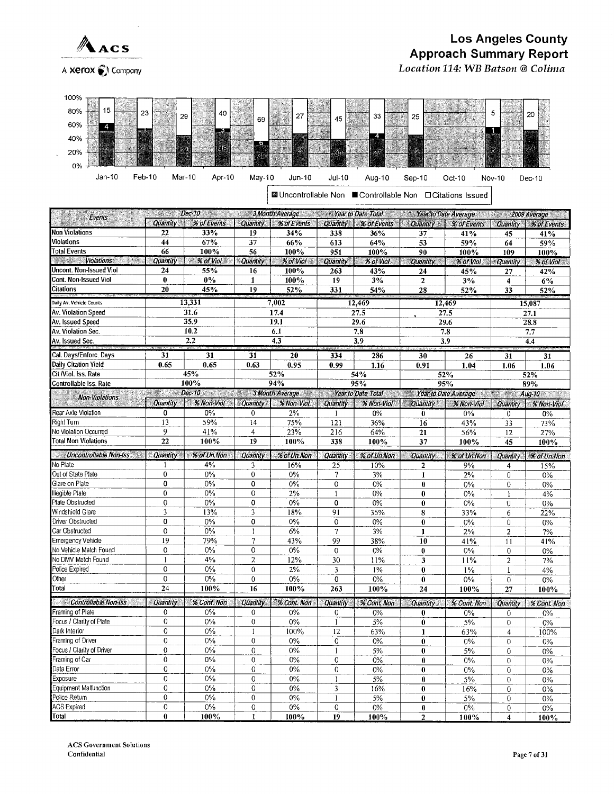

#### **Los Angeles County Approach Summary Report** Location 114: WB Batson @ Colima

A Xerox ( Company



**■ Uncontrollable Non ■ Controllable Non □ Citations Issued** 

| Dec 10 3Month Average Vear to Date Total Year to Date Total Searto Date Average<br>2009 Average<br>Events |                 |                           |                |                                                        |                         |                       |                  |             |                  |                  |  |
|-----------------------------------------------------------------------------------------------------------|-----------------|---------------------------|----------------|--------------------------------------------------------|-------------------------|-----------------------|------------------|-------------|------------------|------------------|--|
|                                                                                                           |                 | Quantity % of Events      |                | Quantity   % of Events                                 | <b>Quantity</b>         | $%$ of Events $\vert$ | <b>Quantity</b>  | % of Events | <b>Quantity</b>  | % of Events      |  |
| <b>Non Violations</b>                                                                                     | 22              | 33%                       | 19             | 34%                                                    | 338                     | 36%                   | 37               | 41%         | 45               | 41%              |  |
| Violations                                                                                                | 44              | 67%                       | 37             | 66%                                                    | 613                     | 64%                   | 53               | 59%         | 64               | 59%              |  |
| <b>Total Events</b>                                                                                       | 66              | 100%                      | 56             | 100%                                                   | 951                     | 100%                  | 90               | 100%        | 109              | 100%             |  |
| <u> Martin T</u><br><b>Violations</b><br>,,,,,                                                            | <b>Quantity</b> | $\approx$ % of Viol       | Quantity       | % of Viol                                              | <b>Quantity</b>         | <b>Sof Viol</b>       | <b>Quantity</b>  | % of Vial   | <b>Quantity</b>  | % of Viol        |  |
| Jncont, Non-Issued Viol                                                                                   | 24              | 55%                       | 16             | 100%                                                   | 263                     | 43%                   | 24               | 45%         | 27               | 42%              |  |
| Cont. Non-Issued Viol                                                                                     | $\bf{0}$        | $0\%$                     | $\mathbf{1}$   | 100%                                                   | 19                      | 3%                    | $\boldsymbol{2}$ | $3\%$       | 4                | 6%               |  |
| Citations                                                                                                 | 20              | 45%                       | 19             | 52%                                                    | 331                     | 54%                   | 28               | 52%         | 33               | 52%              |  |
| Daily Av. Vehicle Counts                                                                                  |                 | 13,331                    |                | 7,002                                                  | 12,469                  |                       |                  | 12,469      | 15,087           |                  |  |
| Av. Violation Speed                                                                                       |                 | 31.6                      | 17.4           |                                                        |                         | 27.5                  |                  | 27.5        | 27.1             |                  |  |
| Av. Issued Speed                                                                                          |                 | 35.9                      |                | 19.1                                                   |                         | 29.6                  |                  | 29.6        |                  | 28.8             |  |
| Av. Violation Sec.                                                                                        | 10.2            |                           |                | 6.1                                                    |                         | 7.8                   |                  | 7.8         |                  | 7.7              |  |
| Av. Issued Sec.                                                                                           | 2.2             |                           |                | 4.3                                                    |                         | 3.9                   |                  | 3.9         |                  | $\overline{4.4}$ |  |
| Cal. Days/Enforc. Days                                                                                    | 31              | 31                        |                | 31<br>20                                               |                         | 286<br>334            |                  | 26          | 31               | 31               |  |
| Daily Citation Yield                                                                                      | 0.65            | 0.65                      | 0.63           | 0.95                                                   | 0.99                    | 1.16                  | 30<br>0.91       | 1.04        | 1.06             | 1.06             |  |
| Cit /Viol. Iss. Rate                                                                                      |                 | 45%                       |                | 52%                                                    | 54%                     |                       |                  | 52%         |                  | 52%              |  |
| Controllable Iss. Rate                                                                                    |                 | 100%                      |                | 94%                                                    |                         | 95%                   |                  | 95%         |                  | 89%              |  |
|                                                                                                           |                 | Dec-10                    |                | 3 Month Average Martio Date Total Mear to Date Average |                         |                       |                  |             | en gel           | Aug-10           |  |
| <b>Non-Violations</b>                                                                                     | Quantity        | % Non-Viol                |                | Quantity   % Non-Viol                                  | Quantity                | % Non-Viol            | <b>Quantity</b>  | % Non-Viol  | Quantity         | % Non-Viol       |  |
| Rear Axle Violation                                                                                       | $\pmb{0}$       | $0\%$                     | $\mathbf 0$    | $2\%$                                                  | $\mathbf{1}$            | 0%                    | $\mathbf{0}$     | $0\%$       | $\mathbf 0$      | 0%               |  |
| Right Turn                                                                                                | 13              | 59%                       | 14             | 75%                                                    | 121                     | 36%                   | 16               | 43%         | 33               | 73%              |  |
| No Violation Occurred                                                                                     | 9               | 41%                       | $\overline{4}$ | 23%                                                    | 216                     | 64%                   | 21               | 56%         | 12               | 27%              |  |
| <b>Total Non Violations</b>                                                                               | 22              | 100%                      | 19             | 100%                                                   | 338                     | 100%                  | 37               | 100%        | 45               | 100%             |  |
| Uncontrollable Non-Iss                                                                                    | Quantity        | % of Un. Non <sub>2</sub> | Quantity       | % of Un.Non                                            | Quantity                | % of Un.Non           | Quantity         | % of Un.Non | <b>Quantity</b>  | % of Un.Non      |  |
| No Plate                                                                                                  |                 | 4%                        | 3              | 16%                                                    | 25                      | 10%                   | $\overline{2}$   | 9%          | 4                | 15%              |  |
| Out of State Plate                                                                                        | $\mathbf{0}$    | $0\%$                     | $\mathbf{0}$   | 0%                                                     | $\tau$                  | 3%                    | $\mathbf{1}$     | 2%          | $\mathbf{0}$     | 0%               |  |
| Glare on Plate                                                                                            | 0               | $0\%$                     | 0              | 0%                                                     | $\overline{0}$          | 0%                    | $\bf{0}$         | $0\%$       | $\mathbf 0$      | 0%               |  |
| Illegible Plate                                                                                           | $\mathbf{0}$    | 0%                        | 0              | 2%                                                     | 1                       | 0%                    | $\bf{0}$         | $0\%$       | $\mathbf{1}$     | 4%               |  |
| Plate ObsIructed                                                                                          | $\overline{0}$  | 0%                        | 0              | 0%                                                     | 0                       | 0%                    | $\bf{0}$         | $0\%$       | 0                | $0\%$            |  |
| Windshield Glare                                                                                          | 3               | 13%                       | 3              | 18%                                                    | 91                      | 35%                   | 8                | 33%         | 6                | 22%              |  |
| Driver Obstructed                                                                                         | 0               | 0%                        | 0              | 0%                                                     | $\overline{0}$          | 0%                    | $\bf{0}$         | $0\%$       | $\mathbf 0$      | 0%               |  |
| Car Obstructed                                                                                            | $\overline{0}$  | 0%                        | $\mathbf{1}$   | 6%                                                     | $\overline{7}$          | 3%                    | $\mathbf{1}$     | 2%          | $\overline{2}$   | $7\%$            |  |
| <b>Emergency Vehicle</b>                                                                                  | 19              | 79%                       | $\overline{7}$ | 43%                                                    | 99                      | 38%                   | 10               | 41%         | 11               | 41%              |  |
| No Vehicle Match Found                                                                                    | $\overline{0}$  | 0%                        | $\mathbf 0$    | $0\%$                                                  | $\overline{0}$          | 0%                    | $\bf{0}$         | 0%          | $\overline{0}$   | $0\%$            |  |
| No DMV Match Found                                                                                        | $\mathbf{1}$    | 4%                        | $\overline{2}$ | 12%                                                    | 30                      | 11%                   | 3                | 11%         | $\overline{2}$   | 7%               |  |
| Police Expired                                                                                            | $\overline{0}$  | 0%                        | $\mathbf{0}$   | 2%                                                     | $\overline{\mathbf{3}}$ | 1%                    | $\bf{0}$         | $1\%$       | $\mathbf{I}$     | 4%               |  |
| Other                                                                                                     | $\overline{0}$  | $0\%$                     | 0              | $0\%$                                                  | 0                       | 0%                    | $\bf{0}$         | $0\%$       | $\boldsymbol{0}$ | $0\%$            |  |
| Total                                                                                                     | 24              | 100%                      | 16             | 100%                                                   | 263                     | 100%                  | 24               | 100%        | 27               | 100%             |  |
| Controllable Non-Iss                                                                                      | Quantity        | % Cont. Non               | Quantity       | % Cant. Non                                            | <b>Quantity</b>         | % Cont Non            | Quantity         | % Cont. Non | Quantity         | % Cont. Non      |  |
| Framing of Plate                                                                                          | $\mathbf{0}$    | 0%                        | $\mathbf{0}$   | 0%                                                     | $\mathbf{0}$            | 0%                    | $\bf{0}$         | $0\%$       | 0                | $0\%$            |  |
| Focus / Clarity of Plate                                                                                  | $\overline{0}$  | 0%                        | $\mathbf{0}$   | $0\%$                                                  | $\mathbf{1}$            | 5%                    | $\bf{0}$         | 5%          | $\mathbf 0$      | $0\%$            |  |
| Dark Interior                                                                                             | $\mathbf 0$     | 0%                        | $\mathbf{1}$   | 100%                                                   | 12                      | 63%                   | $\mathbf{1}$     | 63%         | $\overline{4}$   | 100%             |  |
| Framing of Driver                                                                                         | $\mathbf 0$     | 0%                        | $\mathbf 0$    | $0\%$                                                  | $\overline{0}$          | $0\%$                 | $\bf{0}$         | $0\%$       | $\mathbf 0$      | $0\%$            |  |
| Focus / Clarity of Driver                                                                                 | $\mathbf{0}$    | $0\%$                     | $\mathbf 0$    | $0\%$                                                  | 1                       | 5%                    | $\bf{0}$         | 5%          | 0                | 0%               |  |
| Framing of Car                                                                                            | $\mathbf 0$     | 0%                        | $\mathbf{0}$   | 0%                                                     | $\theta$                | $0\%$                 | $\bf{0}$         | $0\%$       | $\boldsymbol{0}$ | $0\%$            |  |
| Data Error                                                                                                | $\overline{0}$  | 0%                        | $\overline{0}$ | $0\%$                                                  | $\overline{0}$          | $0\%$                 | $\bf{0}$         | $0\%$       | $\mathbf{0}$     | $0\%$            |  |
| Exposure                                                                                                  | $\mathbf 0$     | 0%                        | $\overline{0}$ | 0%                                                     | 1                       | 5%                    | $\bf{0}$         | 5%          | $\overline{0}$   | $0\%$            |  |
| Equipment Malfunction                                                                                     | $\mathbf 0$     | $0\%$                     | $\mathbf 0$    | 0%                                                     | 3                       | 16%                   | $\bf{0}$         | 16%         | $\overline{0}$   | $0\%$            |  |
| Police Return                                                                                             | $\mathbf{0}$    | $0\%$                     | $\mathbf{0}$   | $0\%$                                                  | $\mathbf{I}$            | 5%                    | $\bf{0}$         | 5%          | $\overline{0}$   | $0\%$            |  |
| <b>ACS Expired</b>                                                                                        | $\mathbf 0$     | $0\%$                     | $\mathbf{0}$   | $0\%$                                                  | $\boldsymbol{0}$        | $0\%$                 | $\bf{0}$         | 0%          | $\mathbf 0$      | $0\%$            |  |
| Total                                                                                                     | $\bf{0}$        | 100%                      | 1              | 100%                                                   | 19                      | 100%                  | $\overline{2}$   | 100%        | 4                | 100%             |  |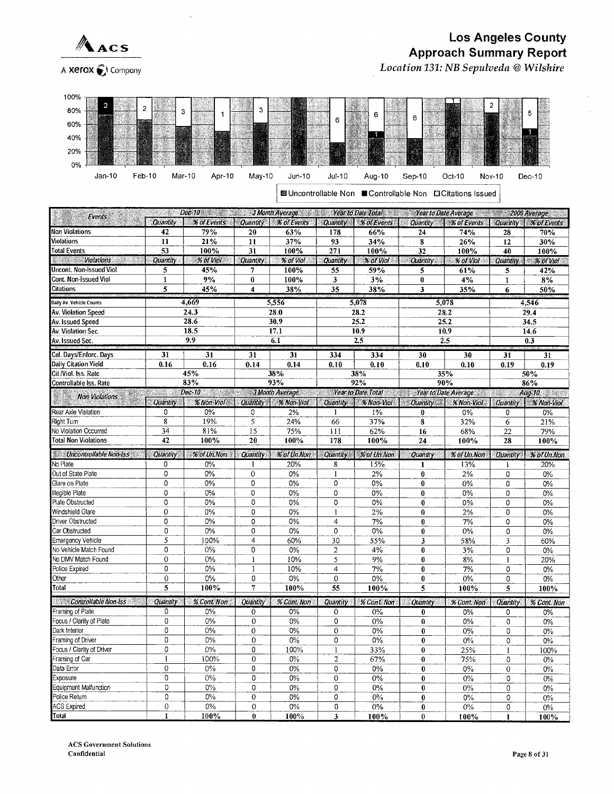

J,

A Xerox ( Company

## **Los Angeles County Approach Summary Report** Location 131: NB Sepulveda @ Wilshire

| 80%<br>3<br>з<br>6                                                                                 | Ð                  |
|----------------------------------------------------------------------------------------------------|--------------------|
| 6<br>6<br>60%                                                                                      |                    |
| 40%                                                                                                |                    |
| 20%                                                                                                |                    |
| KS<br>0%<br>10000                                                                                  |                    |
| Jan-10<br>Feb-10<br>Mar-10<br>May-10<br>$Jul-10$<br>Apr-10<br>Jun-10<br>Aug-10<br>Oct-10<br>Sep-10 | $Dec-10$<br>Nov-10 |

■ Uncontrollable Non ■ Controllable Non □ Citations Issued

| Dec-10 3 Month Average Near to Date Total Strategies (2009 Average 2009 2009 Average<br>Events |                 |                  |                         |                                                 |                |                      |                                                                           |                                      |                          |                           |  |
|------------------------------------------------------------------------------------------------|-----------------|------------------|-------------------------|-------------------------------------------------|----------------|----------------------|---------------------------------------------------------------------------|--------------------------------------|--------------------------|---------------------------|--|
|                                                                                                | Quantity        |                  |                         | % of Events   Quantity   % of Events   Quantity |                | % of Events Quantity |                                                                           | % of Events   Quantity   % of Events |                          |                           |  |
| <b>Non Violations</b>                                                                          | 42              | 79%              | 20                      | 63%                                             | 178            | 66%                  | 24                                                                        | 74%                                  | 28                       | 70%                       |  |
| Violations                                                                                     | 11              | 21%              | 11                      | 37%                                             | 93             | 34%                  | 8                                                                         | 26%                                  | 12                       | 30%                       |  |
| <b>Total Events</b>                                                                            | 53              | 100%             | 31                      | 100%                                            | 271            | 100%                 | 32                                                                        | 100%                                 | 40                       | 100%                      |  |
| <b>Wind Wind Violations</b>                                                                    | <b>Quantity</b> | $%$ of Viol      | Quantity.               | % of Viol                                       | Quantity       | % of Viol            | Quantity                                                                  | % of Vial                            | $Quantity$ $\rightarrow$ | $%$ of Viol               |  |
| Uncont. Non-Issued Viol                                                                        | 5               | 45%              | 7                       | 100%                                            | 55             | 59%                  | 5                                                                         | 61%                                  | 5                        | 42%                       |  |
| Cont. Non-Issued Viol                                                                          | $\mathbf{1}$    | 9%               | $\bf{0}$                | 100%                                            | 3              | 3%                   | $\bf{0}$                                                                  | 4%                                   | $\mathbf{1}$             | 8%                        |  |
| Citations                                                                                      | 5               | 45%              | $\blacktriangleleft$    | 38%                                             | 35             | 38%                  | 3                                                                         | 35%                                  | 6                        | 50%                       |  |
| Daily Av. Vehicle Counts                                                                       |                 | 4,669            | 5,556                   |                                                 | 5,078          |                      |                                                                           | 5,078                                | 4,546                    |                           |  |
| Av. Violation Speed                                                                            | 24.3            |                  |                         | 28.0                                            | 28.2           |                      |                                                                           | 28.2                                 | 29.4                     |                           |  |
| Av. Issued Speed                                                                               |                 | 28.6             |                         | 30.9                                            |                | 25.2                 |                                                                           | 25.2                                 |                          | 34.5                      |  |
| Av. Violation Sec.                                                                             |                 | 18.5             |                         | 17.1                                            |                | 10.9                 |                                                                           | 10.9                                 |                          | 14.6                      |  |
| Av. Issued Sec.                                                                                |                 | $\overline{9.9}$ |                         | 6.1                                             |                | 2.5                  |                                                                           | 2.5                                  |                          | 0.3                       |  |
|                                                                                                |                 |                  |                         |                                                 |                |                      |                                                                           |                                      |                          |                           |  |
| Cal. Days/Enforc. Days                                                                         | 31              | 31               | 31                      | 31                                              | 334            | 334                  | 30                                                                        | 30                                   | 31                       | 31                        |  |
| Daily Citation Yield                                                                           | 0.16            | 0.16             | 0.14                    | 0.14                                            | 0.10           | 0.10                 | 0.10                                                                      | 0.10                                 | 0.19                     | 0.19                      |  |
| Cit /Viol. Iss. Rate                                                                           |                 | 45%              |                         | 38%                                             |                | 38%                  |                                                                           | 35%                                  |                          | 50%                       |  |
| Controllable Iss. Rate                                                                         |                 | 83%              |                         | 93%                                             |                | 92%                  |                                                                           | 90%                                  |                          | 86%                       |  |
| Non-Violations                                                                                 |                 | Dec-10           | 3 Month Average         |                                                 |                |                      | <b>Example 2018</b> Year to Date Total Contract 2018 Year to Date Average |                                      |                          | Aug. 10 <b>March 2018</b> |  |
|                                                                                                | <b>Quantity</b> | % Non-Viol       | <b>Quantity</b>         | % Non-Viol                                      | Quantity       | <b>% Non-Viol</b>    | <b>Quantity</b>                                                           | % Non-Viol                           | <b>Quantity</b>          | % Non-Viol                |  |
| Rear Axie Violation                                                                            | 0               | 0%               | 0                       | 2%                                              | 1              | $1\%$                | $\bf{0}$                                                                  | 0%                                   | 0                        | 0%                        |  |
| Right Turn                                                                                     | $\bf 8$         | 19%              | 5                       | 24%                                             | 66             | 37%                  | 8                                                                         | 32%                                  | 6                        | 21%                       |  |
| No Violation Occurred<br><b>Total Non Violations</b>                                           | 34<br>42        | 81%              | 15<br>20                | 75%                                             | 111            | 62%                  | 16                                                                        | 68%                                  | 22                       | 79%                       |  |
|                                                                                                |                 | 100%             |                         | 100%                                            | 178            | 100%                 | 24                                                                        | 100%                                 | 28                       | 100%                      |  |
| Uncontrollable Non-Iss                                                                         | Quantity        | % of Un.Non      | Quantity                | % of Un.Non                                     | Quantity       | % of Un.Non          | Quantity                                                                  | % of Un.Non                          | Quantity                 | % of Un.Non               |  |
| No Plate                                                                                       | 0               | 0%               | 1                       | 20%                                             | 8              | 15%                  | $\mathbf{1}$                                                              | 13%                                  | 1                        | 20%                       |  |
| Out of State Plate                                                                             | 0               | 0%               | $\mathbf{0}$            | $0\%$                                           | 1              | 2%                   | $\bf{0}$                                                                  | 2%                                   | 0                        | 0%                        |  |
| Glare on Plate                                                                                 | 0               | 0%               | 0                       | 0%                                              | 0              | 0%                   | $\bf{0}$                                                                  | 0%                                   | 0                        | 0%                        |  |
| Illegible Plate                                                                                | 0               | 0%               | 0                       | 0%                                              | 0              | 0%                   | $\bf{0}$                                                                  | $0\%$                                | 0                        | $0\%$                     |  |
| Plate Obstructed                                                                               | 0               | 0%               | 0                       | 0%                                              | 0              | 0%                   | 0                                                                         | 0%                                   | 0                        | 0%                        |  |
| Windshield Glare                                                                               | $\mathbf 0$     | 0%               | 0                       | $0\%$                                           | $\mathbf{1}$   | 2%                   | $\bf{0}$                                                                  | 2%                                   | 0                        | 0%                        |  |
| Driver Obstructed                                                                              | 0               | 0%               | 0                       | 0%                                              | $\overline{4}$ | 7%                   | $\bf{0}$                                                                  | 7%                                   | 0                        | 0%                        |  |
| Car Obstructed                                                                                 | 0               | 0%               | 0                       | $0\%$                                           | 0              | 0%                   | $\pmb{0}$                                                                 | 0%                                   | 0                        | 0%                        |  |
| <b>Emergency Vehicle</b>                                                                       | 5               | 100%             | $\overline{\mathbf{4}}$ | 60%                                             | 30             | 55%                  | 3                                                                         | 58%                                  | $\overline{\mathbf{3}}$  | 60%                       |  |
| No Vehicle Match Found                                                                         | 0               | 0%               | 0                       | 0%                                              | $\overline{c}$ | 4%                   | $\bf{0}$                                                                  | 3%                                   | 0                        | $0\%$                     |  |
| No DMV Match Found                                                                             | 0               | 0%               | 1                       | 10%                                             | $\overline{5}$ | 9%                   | $\pmb{0}$                                                                 | 8%                                   | $\mathbf{1}$             | 20%                       |  |
| Police Expired                                                                                 | 0               | $0\%$            | $\mathbf{1}$            | 10%                                             | $\overline{4}$ | 7%                   | $\bf{0}$                                                                  | 7%                                   | 0                        | $0\%$                     |  |
| Other                                                                                          | $\overline{0}$  | 0%               | 0                       | 0%                                              | $\mathbf 0$    | 0%                   | $\bf{0}$                                                                  | 0%                                   | 0                        | 0%                        |  |
| Total                                                                                          | 5               | 100%             | 7                       | 100%                                            | 55             | 100%                 | 5                                                                         | 100%                                 | 5                        | 100%                      |  |
| Controllable Non-Iss                                                                           | Quantity        | % Cont. Non      | Quantity                | % Cont Non                                      | Quantity       | % Cont Non           | Quantity                                                                  | % Cont. Non                          | Quantity                 | % Cont. Non               |  |
| Framing of Plate                                                                               | 0               | $0\%$            | $\mathbf{0}$            | $0\%$                                           | 0              | 0%                   | $\bf{0}$                                                                  | 0%                                   | 0                        | 0%                        |  |
| Focus / Clarity of Plate                                                                       | 0               | 0%               | 0                       | 0%                                              | 0              | 0%                   | $\bf{0}$                                                                  | $0\%$                                | 0                        | 0%                        |  |
| Dark Interior                                                                                  | 0               | 0%               | 0                       | 0%                                              | 0              | $0\%$                | $\bf{0}$                                                                  | 0%                                   | 0                        | $0\%$                     |  |
| Framing of Driver                                                                              | 0               | $0\%$            | 0                       | $0\%$                                           | 0              | 0%                   | $\bf{0}$                                                                  | $0\%$                                | 0                        | 0%                        |  |
| Focus / Clarity of Driver                                                                      | 0               | $0\%$            | 0                       | 100%                                            | 1              | 33%                  | $\bf{0}$                                                                  | 25%                                  | $\mathbf{I}$             | 100%                      |  |
| Framing of Car                                                                                 | 1               | 100%             | 0                       | $0\%$                                           | $\overline{2}$ | 67%                  | $\bf{0}$                                                                  | 75%                                  | 0                        | $0\%$                     |  |
| Data Error                                                                                     | 0               | $0\%$            | 0                       | $0\%$                                           | 0              | 0%                   | $\bf{0}$                                                                  | $0\%$                                | 0                        | 0%                        |  |
| Exposure                                                                                       | 0               | 0%               | 0                       | $0\%$                                           | $\mathbf 0$    | 0%                   | $\bf{0}$                                                                  | $0\%$                                | 0                        | 0%                        |  |
| Equipment Malfunction                                                                          | 0               | $0\%$            | 0                       | 0%                                              | 0              | 0%                   | $\bf{0}$                                                                  | 0%                                   | 0                        | 0%                        |  |
| Police Return                                                                                  | 0               | $0\%$            | $\mathbf{0}$            | 0%                                              | 0              | $0\%$                | $\mathbf{0}$                                                              | $0\%$                                | 0                        | $0\%$                     |  |
| <b>ACS Expired</b>                                                                             | $\mathbf 0$     | 0%               | 0                       | $0\%$                                           | $\mathbf 0$    | $0\%$                | $\bf{0}$                                                                  | $0\%$                                | 0                        | 0%                        |  |
| Total                                                                                          | $\mathbf{1}$    | 100%             | $\bf{0}$                | 100%                                            | 3              | 100%                 | $\bf{0}$                                                                  | 100%                                 | $\mathbf{1}$             | 100%                      |  |

**ACS Government Solutions** Confidential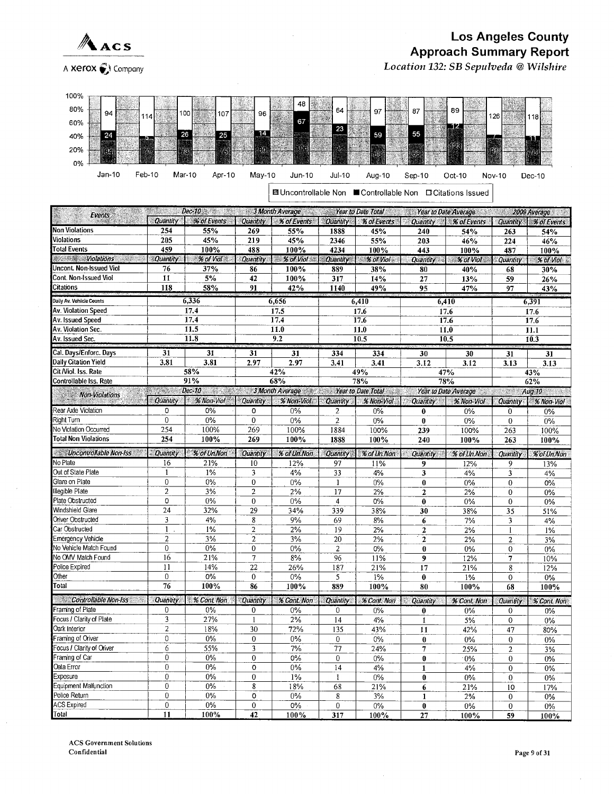

A Xerox (3) Company

# **Los Angeles County Approach Summary Report**

Location 132: SB Sepulveda @ Wilshire

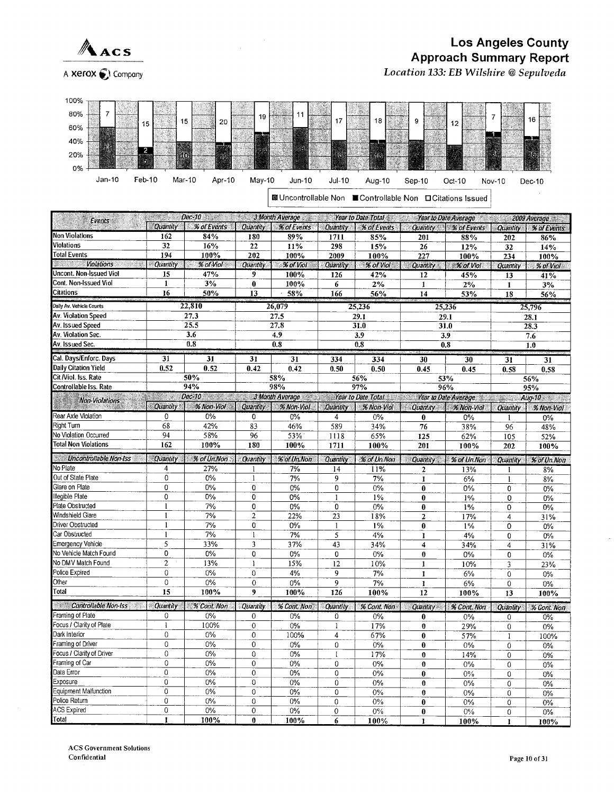

Location 133: EB Wilshire @ Sepulveda



|                                    | en en de              | Dec-10 3Month Average Year to Date Total |                          |                                                                         |                      |                   |                                      | Year to Date Average 2009 Average |                         |                        |  |
|------------------------------------|-----------------------|------------------------------------------|--------------------------|-------------------------------------------------------------------------|----------------------|-------------------|--------------------------------------|-----------------------------------|-------------------------|------------------------|--|
| Events :                           | Quantity              | % of Events                              | Quantity                 | % of Events                                                             | Quantity             | % of Events       |                                      | Quantity % of Events              | <b>Quantity</b>         | % of Events            |  |
| <b>Non Violations</b>              | 162                   | 84%                                      | 180                      | 89%                                                                     | 1711                 | 85%               | 201                                  | 88%                               | 202                     | 86%                    |  |
| <b>Violations</b>                  | 32                    | 16%                                      | 22                       | 11%                                                                     | 298                  | 15%               | 26                                   | 12%                               | 32                      | 14%                    |  |
| <b>Total Events</b>                | 194                   | 100%                                     | 202                      | 100%                                                                    | 2009                 | 100%              | 227                                  | 100%                              | 234                     | 100%                   |  |
| <b>Violations</b>                  | <b>Quantity</b>       | % of Viol                                | <b>Quantity</b>          | <b>% of Viol</b>                                                        | Quantity             | % of Viol         | <b>Quantity</b><br><b>XX of Viol</b> |                                   | Quantity                | % of Viol              |  |
| Uncont. Non-Issued Viol            | 15                    | 47%                                      | 9                        | 100%                                                                    | 126                  | 42%               | 12                                   | 45%                               | 13                      | 41%                    |  |
| Cont. Non-Issued Viol              | $\mathbf{1}$          | 3%                                       | $\bf{0}$                 | 100%                                                                    | 6                    | 2%                | $\mathbf{1}$                         | 2%                                | $\mathbf{1}$            | 3%                     |  |
| <b>Citations</b>                   | 16                    | 50%                                      | 13                       | $-58%$                                                                  | 166                  | 56%               | 14                                   | 53%                               | 18                      | 56%                    |  |
| Daily Av. Vehicle Counts           |                       | 22,810                                   | 26,079                   |                                                                         | 25,236               |                   |                                      | 25,236                            | 25,796                  |                        |  |
| Av. Violation Speed                | 27.3                  |                                          |                          | 27.5                                                                    |                      | 29.1              |                                      | 29.1                              |                         | 28.1                   |  |
| Av. Issued Speed                   |                       | 25.5                                     |                          | 27.8                                                                    |                      | 31.0              |                                      | $\overline{31.0}$                 |                         | 28.3                   |  |
| Av. Violation Sec.                 |                       | 3.6                                      |                          | 4.9                                                                     |                      | 3.9               |                                      | 3.9                               |                         | 7.6                    |  |
| Av. Issued Sec.                    |                       | 0.8                                      |                          | 0.8                                                                     |                      | 0.8               |                                      | 0.8                               |                         | 1.0                    |  |
| Cal. Days/Enforc. Days             |                       |                                          |                          |                                                                         |                      |                   |                                      |                                   |                         |                        |  |
| Daily Citation Yield               | 31<br>0.52            | 31<br>0.52                               | 31<br>0.42               | 31<br>0.42                                                              | 334<br>0.50          | 334               | 30                                   | 30                                | 31                      | 31                     |  |
| Cit /Viol. Iss. Rate               |                       | 50%                                      |                          | 58%                                                                     |                      | 0.50<br>56%       | 0.45                                 | 0.45                              | 0.58                    | 0.58                   |  |
| Controllable Iss. Rate             |                       | 94%                                      |                          | 98%                                                                     |                      | 97%               |                                      | 53%<br>96%                        |                         | 56%                    |  |
|                                    | - 7                   | Dec-10<br>an an an                       |                          | 3 Month Average Service Sear to Date Total Service Sear to Date Average |                      |                   |                                      |                                   |                         | 95%                    |  |
| Non-Violations                     | Quantity <sup>*</sup> | % Non-Viol                               | Quantity                 | % Non-Viol                                                              | Quantity             | <b>% Non-Viol</b> | Quantity   % Non-Viol                |                                   |                         | $Aug-10$<br>% Non-Viol |  |
| Rear Axle Violation                | $\Omega$              | 0%                                       | 0                        | $0\%$                                                                   | 4                    | $0\%$             | $\bf{0}$                             | 0%                                | Quantity                | 0%                     |  |
| <b>Right Turn</b>                  | 68                    | 42%                                      | 83                       | 46%                                                                     | 589                  | 34%               | 76                                   | 38%                               | 1<br>96                 | 48%                    |  |
| No Violation Occurred              | 94                    | 58%                                      | 96                       | 53%                                                                     | 1118                 | 65%               | 125                                  | 62%                               | 105                     | 52%                    |  |
| <b>Total Non Violations</b>        | 162                   | 100%                                     | 180                      | 100%                                                                    | 1711                 | 100%              | 201                                  | 100%                              | 202                     | 100%                   |  |
|                                    |                       |                                          |                          |                                                                         |                      |                   |                                      |                                   |                         |                        |  |
| Uncontrollable Non-Iss             | Quantity              | % of Un.Non                              | Quantity                 | % of Un.Non                                                             | Quantity             | % of Un.Non       | Quantity                             | % of Un.Non                       | Quantity                | % of Un.Non            |  |
| No Plate                           | $\overline{4}$        | 27%                                      | 1                        | 7%                                                                      | 14                   | 11%               | $\mathbf{2}$                         | 13%                               | 1                       | 8%                     |  |
| Out of State Plate                 | $\mathbf 0$           | 0%                                       | $\mathbf{1}$             | 7%                                                                      | 9                    | 7%                | 1                                    | 6%                                | 1                       | 8%                     |  |
| Glare on Plate                     | 0                     | 0%                                       | 0                        | 0%                                                                      | $\mathbf 0$          | $0\%$             | $\bf{0}$                             | 0%                                | 0                       | $0\%$                  |  |
| llegible Plate<br>Plate Obstructed | 0<br>$\mathbf{1}$     | 0%                                       | 0                        | 0%                                                                      | $\mathbf{1}$         | 1%                | $\bf{0}$                             | $1\%$                             | 0                       | $0\%$                  |  |
| Windshield Glare                   |                       | 7%<br>7%                                 | 0<br>$\overline{2}$      | 0%                                                                      | $\mathbf 0$          | $0\%$             | $\bf{0}$                             | $1\%$                             | 0                       | $0\%$                  |  |
| Driver Obstructed                  | $\mathbf{1}$          | 7%                                       | 0                        | 22%                                                                     | 23                   | 18%               | $\overline{2}$                       | 17%                               | $\overline{4}$          | 31%                    |  |
| Car Obstructed                     | $\mathbf{1}$          | 7%                                       | $\mathbf{I}$             | 0%<br>7%                                                                | $\mathbf{1}$         | 1%                | $\bf{0}$                             | $1\%$                             | $\Omega$                | $0\%$                  |  |
| Emergency Vehicle                  | 5                     | 33%                                      | 3                        | 37%                                                                     | 5<br>43              | 4%                | $\mathbf{I}$                         | 4%                                | 0                       | $0\%$                  |  |
| No Vehicle Match Found             | 0                     | 0%                                       | 0                        |                                                                         | 0                    | 34%               | $\overline{\mathbf{4}}$              | 34%                               | $\overline{4}$          | 31%                    |  |
| No DMV Match Found                 | $\overline{2}$        | 13%                                      | $\mathbf{I}$             | $0\%$<br>15%                                                            |                      | 0%                | $\bf{0}$                             | 0%                                | 0                       | 0%                     |  |
| Police Expired                     | $\mathbf 0$           | 0%                                       | 0                        | 4%                                                                      | 12<br>9              | 10%<br>7%         | $\mathbf{1}$                         | 10%                               | 3                       | 23%                    |  |
| Other                              | $\mathbf 0$           | 0%                                       | $\Omega$                 | $0\%$                                                                   | $\overline{9}$       | 7%                | $\mathbf{I}$<br>$\mathbf{1}$         | 6%                                | $\mathbf 0$<br>0        | 0%                     |  |
| Total                              | 15                    | 100%                                     | 9                        | 100%                                                                    | 126                  | 100%              | 12                                   | 6%<br>100%                        | 13                      | $0\%$<br>100%          |  |
| Controllable Non-Iss               |                       |                                          |                          |                                                                         |                      |                   |                                      |                                   |                         |                        |  |
| Framing of Plate                   | Quantity<br>0         | % Cont, Non<br>0%                        | Quantity<br>$\mathbf{0}$ | % Cont. Non<br>0%                                                       | <b>Quantity</b><br>0 | % Cont. Non<br>0% | <b>Quantity</b><br>0                 | % Cont. Non<br>0%                 | Quantity<br>$\mathbf 0$ | % Cont. Non<br>0%      |  |
| Focus / Clarity of Plate           | $\mathbf{1}$          | 100%                                     | $\mathbf{0}$             | 0%                                                                      | $\mathbf{1}$         | 17%               | $\bf{0}$                             | 29%                               | $\overline{0}$          |                        |  |
| Dark Interior                      | $\mathbf 0$           | 0%                                       | $\Omega$                 | 100%                                                                    | $\overline{4}$       | 67%               | $\bf{0}$                             | 57%                               |                         | 0%                     |  |
| Framing of Driver                  | $\mathbf 0$           | 0%                                       | $\mathbf 0$              | $0\%$                                                                   | $\mathbf 0$          | 0%                |                                      |                                   | $\mathbf{1}$            | 100%                   |  |
| Focus / Clarity of Driver          | $\mathbf 0$           | 0%                                       | $\overline{0}$           | $0\%$                                                                   | $\mathbf{I}$         | 17%               | $\bf{0}$<br>$\bf{0}$                 | $0\%$<br>14%                      | 0<br>0                  | 0%<br>0%               |  |
| Framing of Car                     | 0                     | 0%                                       | $\mathbf{0}$             | $0\%$                                                                   | $\mathbf 0$          | 0%                | $\bf{0}$                             | 0%                                | $\overline{0}$          | $0\%$                  |  |
| Data Error                         | $\mathbf 0$           | 0%                                       | $\Omega$                 | 0%                                                                      | $\mathbf 0$          | 0%                | $\bf{0}$                             | 0%                                | 0                       | 0%                     |  |
| Exposure                           | $\mathbf 0$           | 0%                                       | 0                        | 0%                                                                      | $\mathbf 0$          | 0%                | $\bf{0}$                             | $0\%$                             | 0                       | 0%                     |  |
| Equipment Malfunction              | $\mathbf 0$           | 0%                                       | $\mathbf 0$              | 0%                                                                      | $\mathbf 0$          | 0%                | $\bf{0}$                             | $0\%$                             | 0                       | 0%                     |  |
| Police Return                      | $\overline{0}$        | 0%                                       | $\mathbf 0$              | 0%                                                                      | 0                    | 0%                | $\bf{0}$                             | 0%                                | 0                       | 0%                     |  |
| ACS Expired                        | $\mathbf 0$           | 0%                                       | $\mathbf{0}$             | 0%                                                                      | $\mathbf 0$          | 0%                | $\bf{0}$                             | $0\%$                             | 0                       | 0%                     |  |
| Total                              | 1                     | 100%                                     | $\bf{0}$                 | 100%                                                                    | 6                    | 100%              | $\mathbf{1}$                         | 100%                              | 1                       | 100%                   |  |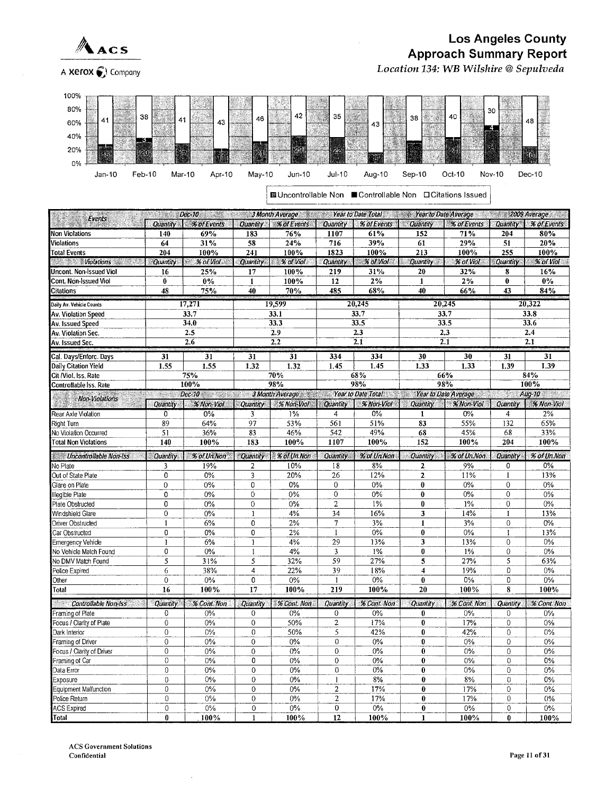

#### Los Angeles County Approach Summary Report Location 134: WB Wilshire @Sepulveda

A Xerox  $\bigodot$  Company



|                                                                                                  |                  |                    |                  | 図 Uncontrollable Non ■ Controllable Non □ Citations Issued      |                                  |                 |                 |                   |                  |             |  |  |  |  |
|--------------------------------------------------------------------------------------------------|------------------|--------------------|------------------|-----------------------------------------------------------------|----------------------------------|-----------------|-----------------|-------------------|------------------|-------------|--|--|--|--|
| Dec-10 2009 Average 3 Month Average 2 2 Fear to Date Total 3 2 Vear to Date Average 2009 Average |                  |                    |                  |                                                                 |                                  |                 |                 |                   |                  |             |  |  |  |  |
| Events                                                                                           | <b>Quantity</b>  | % of Events        | <b>Quantity</b>  | % of Events                                                     | Quantity                         | % of Events     | Quantity        | % of Events       | Quantity         | % of Events |  |  |  |  |
| <b>Non Violations</b>                                                                            | 140              | 69%                | 183              | 76%                                                             | 1107                             | 61%             | 152             | 71%               | 204              | 80%         |  |  |  |  |
| Violations                                                                                       | 64               | 31%                | 58               | 24%                                                             | 716                              | 39%             | 61              | 29%               | 51               | 20%         |  |  |  |  |
| <b>Total Events</b>                                                                              | 204              | 100%               | 241              | 100%                                                            | 1823                             | 100%            | 213             | 100%              | 255              | 100%        |  |  |  |  |
| <b>Example 2019 Molations</b>                                                                    | Quantity         | $% of$ Viol $\sim$ | Quantity         | % of Viol                                                       | Quantity                         | % of Viol       | <b>Quantity</b> | % of Viol         | Quantity         | % of Viol   |  |  |  |  |
| Uncont. Non-Issued Viol                                                                          | 16               | 25%                | 17               | 100%                                                            | 219                              | 31%             | 20              | 32%               | 8                | 16%         |  |  |  |  |
| Cont. Non-Issued Viol                                                                            | $\mathbf{0}$     | $0\%$              | $\mathbf{1}$     | 100%                                                            | 12                               | 2%              | $\mathbf{1}$    | 2%                | $\bf{0}$         | $0\%$       |  |  |  |  |
| Citations                                                                                        | 48               | 75%                | 40               | 70%                                                             | 485                              | 68%             | 40              | 66%               | 43               | 84%         |  |  |  |  |
| Daily Av. Vehicle Counts                                                                         |                  | 17,271             |                  | 19.599                                                          |                                  | 20,245          | 20,245          |                   |                  | 20,322      |  |  |  |  |
| Av. Violation Speed                                                                              | 33.7             |                    |                  | 33.1                                                            |                                  | 33.7            |                 | 33.7              |                  | 33.8        |  |  |  |  |
| Av. Issued Speed                                                                                 | 34.0             |                    |                  | 33.3                                                            |                                  | 33.5            |                 | 33.5              |                  | 33.6        |  |  |  |  |
| Av. Violation Sec.                                                                               |                  | 2.5                |                  | 2.9                                                             |                                  | 2.3             | 2.3             |                   |                  | 2.4         |  |  |  |  |
| Av. Issued Sec.                                                                                  |                  | 2.6                |                  | 2.2                                                             |                                  | $\overline{21}$ | 2.1             |                   |                  | 2.1         |  |  |  |  |
|                                                                                                  |                  |                    |                  |                                                                 |                                  |                 |                 |                   |                  |             |  |  |  |  |
| Cal. Days/Enforc. Days                                                                           | 31               | 31                 | 31               | 31                                                              | 334                              | 334             | 30              | 30                | 31               | 31          |  |  |  |  |
| Daily Citation Yield                                                                             | 1.55             | 1.55               | 1.32             | 1.32                                                            | 1.45                             | 1.45            | 1.33            | 1.33              | 1.39             | 1.39        |  |  |  |  |
| Cit /Viol. Iss. Rate                                                                             |                  | 75%                |                  | 70%                                                             |                                  | 68%             |                 | 66%               |                  | 84%         |  |  |  |  |
| Controllable Iss. Rate                                                                           |                  | 100%               |                  | 98%                                                             |                                  | 98%             | 98%             |                   |                  | 100%        |  |  |  |  |
| <b>Non-Violations</b>                                                                            | - 3              | Dec-10 2000        |                  | 3 Month Average William Year to Date Total Year to Date Average |                                  |                 |                 |                   | W.               | Aug-10      |  |  |  |  |
|                                                                                                  | <b>Quantity</b>  | % Non-Viol         | Quantity         | % Non-Viol                                                      | <b>Quantity</b>                  | % Non-Viol      | Quantity        | <b>% Non-Viol</b> | Quantity         | % Non-Viol  |  |  |  |  |
| Rear Axle Violation                                                                              | $\overline{0}$   | 0%                 | 3                | $1\%$                                                           | 4                                | 0%              | 1               | 0%                | 4                | 2%          |  |  |  |  |
| Right Turn                                                                                       | 89               | 64%                | 97               | 53%                                                             | 561                              | 51%             | 83              | 55%               | 132              | 65%         |  |  |  |  |
| No Violation Occurred                                                                            | 51               | 36%                | 83               | 46%                                                             | 542                              | 49%             | 68              | 45%               | 68               | 33%         |  |  |  |  |
| <b>Total Non Violations</b>                                                                      | 140              | 100%               | 183              | 100%                                                            | 1107                             | 100%            | 152             | 100%              | 204              | 100%        |  |  |  |  |
| <b>Willie Uncontrollable Non-Iss</b>                                                             | <b>Quantity</b>  | % of Un.Non        |                  | Quantity   % of Un.Non                                          | <b>Quantity</b>                  | % of Un.Non     | Quantity        | % of Un.Non       | Quantity         | % of Un.Non |  |  |  |  |
| No Plate                                                                                         | 3                | 19%                | 2                | 10%                                                             | 18                               | 8%              | 2               | 9%                | 0                | $0\%$       |  |  |  |  |
| Out of State Plate                                                                               | 0                | 0%                 | 3                | 20%                                                             | 26                               | 12%             | $\mathbf{2}$    | 11%               | $\mathbf{1}$     | 13%         |  |  |  |  |
| Glare on Plate                                                                                   | 0                | 0%                 | 0                | 0%                                                              | $\mathbf{0}$                     | $0\%$           | $\bf{0}$        | $0\%$             | 0                | 0%          |  |  |  |  |
| Illegible Plate                                                                                  | 0                | 0%                 | $\overline{0}$   | 0%                                                              | $\mathbf{0}$                     | 0%              | $\bf{0}$        | 0%                | $\mathbf 0$      | 0%          |  |  |  |  |
| Plate Obstructed                                                                                 | 0                | 0%                 | $\mathbf 0$      | $0\%$                                                           | $\overline{2}$                   | 1%              | 0               | $1\%$             | $\mathbf{0}$     | 0%          |  |  |  |  |
| Windshield Glare                                                                                 | $\overline{0}$   | $0\%$              | 1                | 4%                                                              | 34                               | 16%             | 3               | 14%               | 1                | 13%         |  |  |  |  |
| <b>Driver Obstructed</b>                                                                         | $\mathbf{1}$     | 6%                 | 0                | 2%                                                              | 7                                | 3%              | $\mathbf{I}$    | 3%                | 0                | 0%          |  |  |  |  |
| Car Obstructed                                                                                   | 0                | $0\%$              | 0                | 2%                                                              | 1                                | 0%              | $\mathbf{0}$    | 0%                | 1                | 13%         |  |  |  |  |
| <b>Emergency Vehicle</b>                                                                         | 1                | 6%                 | $\mathbf{I}$     | 4%                                                              | 29                               | 13%             | 3               | 13%               | $\mathbf{0}$     | 0%          |  |  |  |  |
| No Vehicle Match Found                                                                           | 0                | 0%                 | $\mathbf{I}$     | 4%                                                              | 3                                | 1%              | 0               | 1%                | $\mathbf{0}$     | 0%          |  |  |  |  |
| No DMV Match Found                                                                               | 5                | 31%                | 5                | 32%                                                             | 59                               | 27%             | 5               | 27%               | 5                | 63%         |  |  |  |  |
| Police Expired                                                                                   | 6                | 38%                | $\overline{4}$   | 22%                                                             | 39                               | 18%             | $\overline{4}$  | 19%               | 0                | 0%          |  |  |  |  |
| Other                                                                                            | $\mathbf 0$      | $0\%$              | 0                | $0\%$                                                           | $\mathbf{I}$                     | 0%              | $\bf{0}$        | 0%                | 0                | $0\%$       |  |  |  |  |
| Total                                                                                            | 16               | 100%               | 17               | 100%                                                            | 219                              | 100%            | 20              | 100%              | 8                | 100%        |  |  |  |  |
| <b>Controllable Non-Issection</b>                                                                | <b>Quantity</b>  | % Cont. Non        | Quantity         | % Cont. Non                                                     | Quantity                         | % Cont. Non     | Quantity        | % Cant. Non       | Quantity         | % Cont. Non |  |  |  |  |
| Framing of Plate                                                                                 | 0                | $0\%$              | 0                | 0%                                                              | 0                                | 0%              | $\theta$        | $0\%$             | $\mathbf 0$      | $0\%$       |  |  |  |  |
| Focus / Clarity of Plate                                                                         | $\mathbf{0}$     | $0\%$              | 0                | 50%                                                             | $\overline{2}$                   | 17%             | 0               | 17%               | 0                | $0\%$       |  |  |  |  |
| Dark Interior                                                                                    | $\mathbf 0$      | $0\%$              | $\overline{0}$   | 50%                                                             | 5                                | 42%             | $\bf{0}$        | 42%               | 0                | $0\%$       |  |  |  |  |
| Framing of Driver                                                                                | 0                | 0%                 | 0                | $0\%$                                                           | 0                                | $0\%$           | $\bf{0}$        | $0\%$             | 0                | $0\%$       |  |  |  |  |
| Focus / Clarity of Driver                                                                        | $\mathbf 0$      | $0\%$              | 0                | $0\%$                                                           | $\mathbf 0$                      | $0\%$           | $\mathbf 0$     | 0%                | $\mathbf 0$      | $0\%$       |  |  |  |  |
| Framing of Car                                                                                   |                  |                    |                  |                                                                 |                                  |                 | $\bf{0}$        |                   | $\boldsymbol{0}$ | 0%          |  |  |  |  |
|                                                                                                  | $\boldsymbol{0}$ | $0\%$              | 0                | 0%                                                              | $\mathbf 0$                      | $0\%$           |                 | 0%                |                  |             |  |  |  |  |
| Data Error                                                                                       | $\mathbf 0$      | 0%                 | $\boldsymbol{0}$ | 0%                                                              | 0                                | $0\%$           | $\bf{0}$        | $0\%$             | 0                | $0\%$       |  |  |  |  |
| Exposure                                                                                         | $\theta$         | 0%                 | $\mathbf 0$      | 0%                                                              | $\mathbf{1}$                     |                 | $\bf{0}$        |                   | $\bf{0}$         | 0%          |  |  |  |  |
| Equipment Malfunction                                                                            | $\mathbf 0$      | $0\%$              | $\boldsymbol{0}$ | $0\%$                                                           |                                  | $8\%$<br>17%    | $\bf{0}$        | $8\%$<br>17%      | 0                | $0\%$       |  |  |  |  |
| Police Return                                                                                    | $\overline{0}$   | $0\%$              | 0                | $0\%$                                                           | $\overline{2}$<br>$\overline{2}$ | 17%             | $\bf{0}$        | 17%               | 0                | $0\%$       |  |  |  |  |
| <b>ACS</b> Expired                                                                               | $\overline{0}$   | $0\%$              | 0                | 0%                                                              | 0                                | $0\%$           | $\bf{0}$        | $0\%$             | $\boldsymbol{0}$ | $0\%$       |  |  |  |  |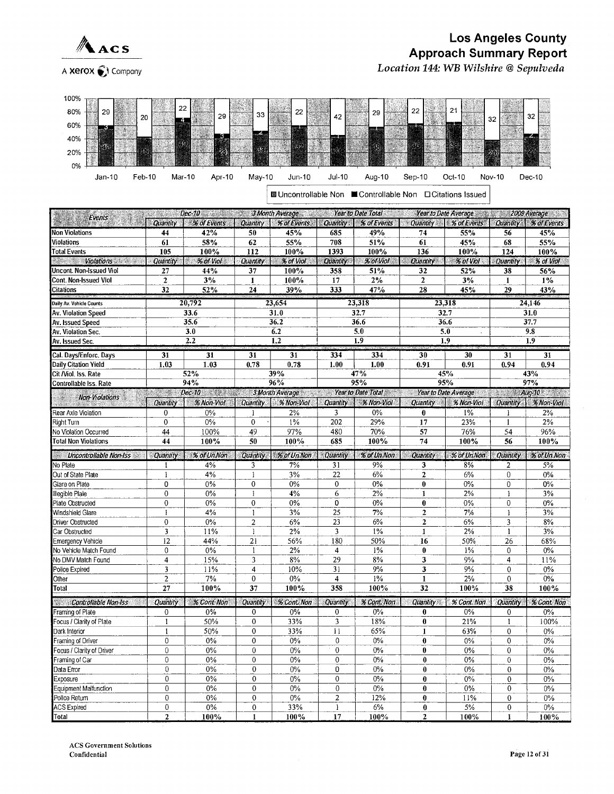

## **Los Angeles County Approach Summary Report** Location 144: WB Wilshire @ Sepulveda



**Educontrollable Non ■ Controllable Non □ Citations Issued** 

| 2009 Average 2009 Average 2009 Average 2009 Average 2009 Average 3 Month Average 2009 Average 3 Month Average<br>Events |                                                          |                     |                 |                                   |                         |                    |                         |                                      |                |                       |  |
|-------------------------------------------------------------------------------------------------------------------------|----------------------------------------------------------|---------------------|-----------------|-----------------------------------|-------------------------|--------------------|-------------------------|--------------------------------------|----------------|-----------------------|--|
|                                                                                                                         | Quantity 1                                               | % of Events         |                 | Quantity   % of Events   Quantity |                         | % of Events        | <b>Cuantity</b>         | % of Events   Quantity   % of Events |                |                       |  |
| <b>Non Violations</b>                                                                                                   | 44                                                       | 42%                 | 50              | 45%                               | 685                     | 49%                | 74                      | 55%                                  | 56             | 45%                   |  |
| Violations                                                                                                              | 61                                                       | 58%                 | 62              | 55%                               | 708                     | 51%                | 61                      | 45%                                  | 68             | 55%                   |  |
| Total Events                                                                                                            | 105                                                      | 100%                | 112             | 100%                              | 1393                    | 100%               | 136                     | 100%                                 | 124            | 100%                  |  |
| Serie Sta<br>Violations with a                                                                                          | <b>Quantity</b>                                          | % of Vol            | Quantity        | % of Viol                         | Quantity                | % of Viol          | Quantity                | % of Viol                            | Quantity       | % of Viol             |  |
| Uncont. Non-Issued Viol                                                                                                 | 27                                                       | 44%                 | 37              | 100%                              | 358                     | 51%                | 32                      | 52%                                  | 38             | 56%                   |  |
| Cont. Non-Issued Viol                                                                                                   | $\mathbf{z}$                                             | 3%                  | $\mathbf{1}$    | 100%                              | 17                      | $2\%$              | $\overline{2}$          | 3%                                   | 1              | $1\%$                 |  |
| Citations                                                                                                               | 32                                                       | 52%                 | 24              | 39%                               | 333                     | 47%                | 28                      | 45%                                  | 29<br>43%      |                       |  |
| Daily Av. Vehicle Counts                                                                                                |                                                          | 20,792              | 23,654          |                                   | 23,318                  |                    |                         | 23,318                               | 24,146         |                       |  |
| Av. Violation Speed                                                                                                     | 33.6                                                     |                     |                 | 31.0                              |                         | 32.7               |                         | 32.7                                 |                | 31.0                  |  |
| Av. Issued Speed                                                                                                        |                                                          | 35.6                |                 | 36.2                              |                         | 36.6               |                         | 36.6                                 |                | 37.7                  |  |
| Av. Violation Sec.                                                                                                      |                                                          | 3.0                 |                 | 6.2                               |                         | 5.0                |                         | 5.0                                  |                | 9.8                   |  |
| Av. Issued Sec.                                                                                                         |                                                          | 2.2                 |                 | 1,2                               |                         | 1.9                |                         | 1.9                                  |                | 1.9                   |  |
| Cal. Days/Enforc. Days                                                                                                  | 31                                                       | 31                  | 31              | 31                                | 334                     | 334                | 30                      | 30                                   | 31             | 31                    |  |
| Daily Citation Yield                                                                                                    | 1.03                                                     | 1.03                | 0.78            | 0.78                              | 1.00                    | 1.00               | 0.91                    | 0.91                                 | 0.94           | 0.94                  |  |
| Cit /Viol. Iss. Rate                                                                                                    |                                                          | 52%                 |                 | 39%                               |                         | 47%                |                         | 45%                                  |                | 43%                   |  |
| Controllable Iss. Rate                                                                                                  |                                                          | 94%                 |                 | 96%                               |                         | 95%                |                         | 95%                                  |                | 97%                   |  |
|                                                                                                                         | an Mari                                                  | $Dec-10$ and $1.11$ |                 | 3 Month Average                   |                         | Year to Date Total |                         | Year to Date Average                 | W.             | Aug-10                |  |
| Non-Violations                                                                                                          | Quantity                                                 | % Non-Viol          | Quantity        | % Non-Viol                        | Quantity                | % Non-Viol         | Quantity 1              | % Non-Viol                           |                | Quantity   % Non-Viol |  |
| Rear Axle Violation                                                                                                     | 0                                                        | 0%                  | 1               | 2%                                | $\overline{\mathbf{3}}$ | 0%                 | $\bf{0}$                | 1%                                   | 1              | 2%                    |  |
| Right Turn                                                                                                              | 0                                                        | 0%                  | $\mathbf 0$     | $1\%$                             | 202                     | 29%                | 17                      | 23%                                  | 1              | 2%                    |  |
| No Violation Occurred                                                                                                   | 44                                                       | 100%                | $\overline{49}$ | 97%                               | 480                     | 70%                | 57                      | 76%                                  | 54             | 96%                   |  |
| <b>Total Non Violations</b>                                                                                             | 44                                                       | 100%                | 50              | 100%                              | 685                     | 100%               | 74                      | 100%                                 | 56             | 100%                  |  |
|                                                                                                                         | % of Un.Non<br>Quantity<br><b>Uncontrollable Non-Iss</b> |                     | <b>Quantity</b> | % of UnNon <sub>2</sub>           | · Quantity              | % of Un.Non        | Quantity<br>% of Un.Non |                                      | Quantity       | % of Un.Non           |  |
| No Plate                                                                                                                |                                                          | 4%                  | 3               | 7%                                | 31                      | 9%                 | 3                       | 8%                                   | 2              | 5%                    |  |
| Out of State Plate                                                                                                      | $\mathbf{1}$                                             | 4%                  | $\mathbf{1}$    | 3%                                | 22                      | 6%                 | $\mathbf{2}$            | 6%                                   | $\overline{0}$ | 0%                    |  |
| Glare on Plate                                                                                                          | 0                                                        | 0%                  | 0               | 0%                                | 0                       | 0%                 | $\bf{0}$                | $0\%$                                | 0              | $0\%$                 |  |
| Illegible Plale                                                                                                         | $\theta$                                                 | 0%                  | $\mathbf{I}$    | 4%                                | 6                       | 2%                 | $\mathbf{I}$            | 2%                                   | 1              | 3%                    |  |
| Plate Obstructed                                                                                                        | $\mathbf 0$                                              | 0%                  | $\mathbf 0$     | $0\%$                             | 0                       | $0\%$              | $\mathbf{0}$            | 0%                                   | 0              | $0\%$                 |  |
| Windshield Glare                                                                                                        | $\mathbf{I}$                                             | 4%                  | $\mathbf{1}$    | 3%                                | $\overline{25}$         | 7%                 | $\overline{2}$          | 7%                                   | $\mathbf{1}$   | 3%                    |  |
| Driver Obstructed                                                                                                       | $\overline{0}$                                           | 0%                  | $\overline{2}$  | 6%                                | 23                      | 6%                 | $\overline{2}$          | 6%                                   | 3              | 8%                    |  |
| Car Obstructed                                                                                                          | $\overline{\mathbf{3}}$                                  | 11%                 | $\mathbf{1}$    | 2%                                | 3                       | $1\%$              | $\mathbf{1}$            | 2%                                   | $\mathbf{1}$   | 3%                    |  |
| Emergency Vehicle                                                                                                       | 12                                                       | 44%                 | $\overline{21}$ | 56%                               | 180                     | 50%                | 16                      | 50%                                  | 26             | 68%                   |  |
| No Vehicle Match Found                                                                                                  | $\theta$                                                 | 0%                  | $\mathbf{1}$    | 2%                                | 4                       | $1\%$              | $\bf{0}$                | 1%                                   | $\mathbf 0$    | $0\%$                 |  |
| No DMV Match Found                                                                                                      | $\overline{4}$                                           | 15%                 | 3               | 8%                                | 29                      | 8%                 | 3                       | 9%                                   | 4              | 11%                   |  |
| Police Expired                                                                                                          | 3                                                        | 11%                 | 4               | 10%                               | 31                      | 9%                 | 3                       | 9%                                   | $\mathbf{0}$   | $0\%$                 |  |
| Other                                                                                                                   | $\overline{2}$                                           | 7%                  | $\mathbf{0}$    | $0\%$                             | $\overline{4}$          | 1%                 | $\mathbf{1}$            | 2%                                   | $\mathbf{0}$   | 0%                    |  |
| Total                                                                                                                   | 27                                                       | 100%                | 37              | 100%                              | 358                     | 100%               | 32                      | 100%                                 | 38             | 100%                  |  |
| Controllable Non-Iss                                                                                                    | Quantity                                                 | % Cont Non          | Quantity        | % Cont Non                        | Quantity                | % Cont. Non        | Quantity                | <b>% Cont. Non</b>                   | Quantity       | % Cont. Non           |  |
| Framing of Plate                                                                                                        | $\mathbf 0$                                              | 0%                  | 0               | $0\%$                             | 0                       | $0\%$              | $\bf{0}$                | $0\%$                                | 0              | $0\%$                 |  |
| Focus / Clarity of Plate                                                                                                | $\mathbf{1}$                                             | 50%                 | $\circ$         | 33%                               | 3                       | 18%                | $\bf{0}$                | 21%                                  | $\mathbf{1}$   | 100%                  |  |
| Dark Interior                                                                                                           | $\mathbf{1}$                                             | 50%                 | $\overline{0}$  | 33%                               | 11                      | 65%                | $\mathbf{1}$            | 63%                                  | $\mathbf 0$    | $0\%$                 |  |
| Framing of Driver                                                                                                       | $\theta$                                                 | $0\%$               | $\overline{0}$  | $0\%$                             | $\mathbf{0}$            | 0%                 | 0                       | 0%                                   | $\mathbf{0}$   | $0\%$                 |  |
| Focus / Clarity of Driver                                                                                               | $\mathbf 0$                                              | $0\%$               | $\mathbf 0$     | $0\%$                             | $\theta$                | $0\%$              | $\bf{0}$                | 0%                                   | $\mathbf 0$    | $0\%$                 |  |
| Framing of Car                                                                                                          | $\overline{0}$                                           | 0%                  | $\mathbf 0$     | 0%                                | $\mathbf 0$             | $0\%$              | 0                       | 0%                                   | $\mathbf 0$    | $0\%$                 |  |
| Data Error                                                                                                              | 0                                                        | 0%                  | 0               | 0%                                | 0                       | $0\%$              | $\bf{0}$                | 0%                                   | $\mathbf 0$    | $0\%$                 |  |
| Exposure                                                                                                                | $\overline{0}$                                           | $0\%$               | $\overline{0}$  | $0\%$                             | $\mathbf 0$             | $0\%$              | 0                       | $0\%$                                | 0              | $0\%$                 |  |
| Equipment Malfunction                                                                                                   | $\mathbf{0}$                                             | $0\%$               | $\mathbf 0$     | $0\%$                             | $\mathbf 0$             | $0\%$              | $\bf{0}$                | 0%                                   | $\overline{0}$ | $0\%$                 |  |
| Police Return                                                                                                           | $\overline{0}$                                           | $0\%$               | $\overline{0}$  | $0\%$                             | $\overline{2}$          | 12%                | $\bf{0}$                | 11%                                  | $\overline{0}$ | $0\%$                 |  |
| <b>ACS Expired</b>                                                                                                      | $\mathbf 0$                                              | $0\%$               | $\mathbf 0$     | 33%                               | 1                       | 6%                 | $\mathbf{0}$            | 5%                                   | 0              | 0%                    |  |
| Total                                                                                                                   | $\overline{2}$                                           | 100%                | $\mathbf{1}$    | 100%                              | 17                      | 100%               | $\overline{2}$          | 100%                                 | $\mathbf{I}$   | 100%                  |  |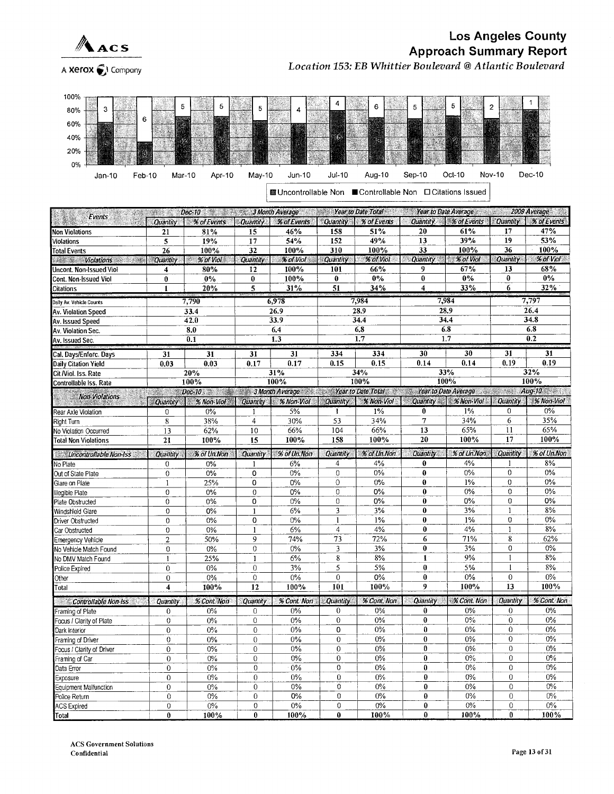

# **Los Angeles County Approach Summary Report** Location 153: EB Whittier Boulevard @ Atlantic Boulevard

A Xerox of Company



**■ Uncontrollable Non ■ Controllable Non □ Citations Issued** 

| 2009 Average 3 Month Average 3 Year to Date Total Year to Date Average 2009 Average<br>ven a<br>S.<br>Events |                                                                                                                                                                                                                                  |                                                                           |                 |             |                 |             |                            |                                    |                      |               |  |
|--------------------------------------------------------------------------------------------------------------|----------------------------------------------------------------------------------------------------------------------------------------------------------------------------------------------------------------------------------|---------------------------------------------------------------------------|-----------------|-------------|-----------------|-------------|----------------------------|------------------------------------|----------------------|---------------|--|
| æ                                                                                                            | <b>Quantity</b>                                                                                                                                                                                                                  | % of Events                                                               | <b>Ouantily</b> | % of Events | <b>Quantity</b> | % of Events |                            | Quantity.   % of Events   Quantity |                      | % of Events   |  |
| <b>Non Violations</b>                                                                                        | 21                                                                                                                                                                                                                               | 81%                                                                       | 15              | 46%         | 158             | 51%         | 20                         | 61%                                | $\overline{17}$      | 47%           |  |
| <b>√iolations</b>                                                                                            | 5                                                                                                                                                                                                                                | 19%                                                                       | 17              | 54%         | 152             | 49%         | 13                         | 39%                                | 19                   | 53%           |  |
| <b>Total Events</b>                                                                                          | 26                                                                                                                                                                                                                               | 100%                                                                      | 32              | 100%        | 310             | 100%        | 33                         | 100%                               | 36                   | 100%          |  |
| <b>Walker Collations Management</b>                                                                          | <b>Quantity</b>                                                                                                                                                                                                                  | ≪ % of Viol                                                               | <b>Quantity</b> | % of Viol   | <b>Quantity</b> | % of Viol   | Quantity % of Viol         |                                    | <b>Quantity</b>      | % of Viol     |  |
| Uncont. Non-Issued Viol                                                                                      | 4                                                                                                                                                                                                                                | 80%                                                                       | 12              | 100%        | 101             | 66%         | 9                          | 67%                                | 13                   | 68%           |  |
| Cont. Non-Issued Viol                                                                                        | 0                                                                                                                                                                                                                                | 0%                                                                        | 0               | 100%        | $\bf{0}$        | $0\%$       | $\pmb{0}$                  | $0\%$                              | $\bf{0}$             | $0\%$         |  |
| <b>Citations</b>                                                                                             | $\mathbf{1}$                                                                                                                                                                                                                     | 20%                                                                       | 5               | 31%         | 51              | 34%         | $\overline{\bf{4}}$        | 33%                                | 6                    | 32%           |  |
| <br>Daily Av. Vehicle Counts                                                                                 |                                                                                                                                                                                                                                  | 7,790                                                                     | 6,978           |             | 7,984           |             |                            | 7,984                              | 7,797                |               |  |
| Av. Violation Speed                                                                                          | 33.4                                                                                                                                                                                                                             |                                                                           |                 | 26.9        | 28.9            |             | 28.9                       |                                    | 26.4                 |               |  |
| Av. Issued Speed                                                                                             | 42.0                                                                                                                                                                                                                             |                                                                           |                 | 33.9        |                 | 34.4        |                            | 34.4                               | 34.8                 |               |  |
| Av. Violation Sec.                                                                                           |                                                                                                                                                                                                                                  | 8.0                                                                       |                 | 6.4         |                 | 6.8         |                            | 6.8                                |                      | 6.8           |  |
| Av. Issued Sec.                                                                                              |                                                                                                                                                                                                                                  | 0.1                                                                       |                 | 1.3         |                 | 1.7         |                            | 1.7                                |                      | 0.2           |  |
|                                                                                                              |                                                                                                                                                                                                                                  |                                                                           |                 |             |                 |             |                            |                                    |                      |               |  |
| Cal. Days/Enforc. Days                                                                                       | $\overline{31}$                                                                                                                                                                                                                  | 31                                                                        | 31              | 31          | 334             | 334         | 30                         | 30                                 | 31                   | 31            |  |
| Daily Citation Yield                                                                                         | 0.03                                                                                                                                                                                                                             | 0.03                                                                      | 0.17            | 0.17        | 0.15            | 0.15        | 0.14                       | 0.14                               | 0.19                 | 0.19<br>32%   |  |
| Cit /Viol. Iss. Rate                                                                                         |                                                                                                                                                                                                                                  | 20%                                                                       |                 | 31%<br>100% |                 | 34%<br>100% |                            | 33%<br>100%                        |                      | 100%          |  |
| Controllable Iss. Rate                                                                                       |                                                                                                                                                                                                                                  | 100%                                                                      |                 |             |                 |             |                            |                                    |                      | $Aug-10$      |  |
| <b>Non-Violations</b>                                                                                        | e di provincia di concello della concella di concello della concella di concello di concello di concello di co<br>Concello di concello di concello di concello di concello di concello di concello di concello di concello di co | Dec-10 Nonth Average Year to Date Total Year Average Vear to Date Average |                 |             |                 |             |                            | Quantity & Non-Viol                | Quantity             | % Non-Viol    |  |
|                                                                                                              | <b>Quantity</b>                                                                                                                                                                                                                  | % Non-Viol                                                                | Quantity        | % Non-Viol  | <b>Quantity</b> | % Non-Viol  |                            |                                    |                      |               |  |
| Rear Axle Violation                                                                                          | $\mathbf{0}$                                                                                                                                                                                                                     | 0%                                                                        | $\mathbf{1}$    | 5%          | $\mathbf{I}$    | $1\%$       | $\bf{0}$<br>$\overline{7}$ | 1%                                 | $\theta$             | 0%            |  |
| Right Turn                                                                                                   | $\overline{8}$                                                                                                                                                                                                                   | 38%                                                                       | $\overline{4}$  | 30%         | 53              | 34%         |                            | 34%                                | 6                    | 35%           |  |
| No Violation Occurred                                                                                        | 13                                                                                                                                                                                                                               | 62%                                                                       | 10              | 66%         | 104<br>158      | 66%         | 13<br>20                   | 65%<br>100%                        | 11<br>17             | 65%<br>100%   |  |
| <b>Total Non Violations</b>                                                                                  | 21                                                                                                                                                                                                                               | 100%                                                                      | 15              | 100%        |                 | 100%        |                            |                                    |                      |               |  |
| Uncontrollable Non-Iss                                                                                       | Quantity                                                                                                                                                                                                                         | % of Un.Non                                                               | <b>Quantity</b> | % of Un.Non | Quantity        | % of Un.Non | Quantity                   | % of Un.Non                        | Quantity             | % of Un.Non   |  |
| No Plate                                                                                                     | $\mathbf 0$                                                                                                                                                                                                                      | 0%                                                                        |                 | 6%          | 4               | 4%          | 0                          | 4%                                 |                      | 8%            |  |
| Out of State Plate                                                                                           | $\mathbf 0$                                                                                                                                                                                                                      | 0%                                                                        | 0               | 0%          | $\theta$        | 0%          | $\bf{0}$                   | 0%                                 | $\Omega$             | 0%            |  |
| Glare on Plate                                                                                               | $\mathbf{1}$                                                                                                                                                                                                                     | 25%                                                                       | 0               | 0%          | $\circ$         | $0\%$       | $\bf{0}$                   | 1%                                 | $\mathbf 0$          | 0%            |  |
| Illegible Plate                                                                                              | 0                                                                                                                                                                                                                                | 0%                                                                        | $\overline{0}$  | 0%          | $\theta$        | 0%          | $\bf{0}$                   | 0%                                 | $\Omega$             | $0\%$         |  |
| Plate Obstructed                                                                                             | $\mathbf 0$                                                                                                                                                                                                                      | 0%                                                                        | 0               | 0%          | $\theta$        | 0%          | 0                          | 0%                                 | $\overline{0}$       | 0%            |  |
| Windshield Glare                                                                                             | $\overline{0}$                                                                                                                                                                                                                   | 0%                                                                        | $\mathbf{1}$    | 6%          | 3               | 3%          | $\bf{0}$                   | 3%                                 | $\mathbf{1}$         | 8%            |  |
| Driver Obstructed                                                                                            | $\Omega$                                                                                                                                                                                                                         | 0%                                                                        | 0               | 0%          | $\mathbf{1}$    | $1\%$       | 0                          | $1\%$                              | $\mathbf 0$          | 0%            |  |
| Car Obstructed                                                                                               | $\overline{0}$                                                                                                                                                                                                                   | 0%                                                                        | $\mathbf{1}$    | 6%          | $\overline{4}$  | 4%          | 0                          | 4%                                 | 1                    | 8%            |  |
| Emergency Vehicle                                                                                            | $\overline{c}$                                                                                                                                                                                                                   | 50%                                                                       | 9               | 74%         | 73              | 72%         | 6                          | 71%                                | 8                    | 62%           |  |
| No Vehicle Match Found                                                                                       | $\mathbf 0$                                                                                                                                                                                                                      | 0%                                                                        | $\mathbf 0$     | 0%          | 3               | 3%          | $\bf{0}$                   | 3%                                 | 0                    | $0\%$         |  |
| No DMV Match Found                                                                                           | $\mathbf{I}$                                                                                                                                                                                                                     | 25%                                                                       | $\mathbf{1}$    | 6%          | $8\phantom{.0}$ | 8%          | $\mathbf{1}$               | 9%                                 |                      | 8%            |  |
| Police Expired                                                                                               | $\overline{0}$                                                                                                                                                                                                                   | $0\%$                                                                     | $\Omega$        | 3%          | 5               | 5%          | $\bf{0}$                   | 5%                                 | 1                    | 8%            |  |
| Other                                                                                                        | $\boldsymbol{0}$                                                                                                                                                                                                                 | $0\%$                                                                     | $\mathbf{0}$    | $0\%$       | 0               | $0\%$       | $\bf{0}$<br>9              | 0%<br>100%                         | $\overline{0}$<br>13 | $0\%$<br>100% |  |
| Total                                                                                                        | $\overline{\mathbf{4}}$                                                                                                                                                                                                          | 100%                                                                      | 12              | 100%        | 101             | 100%        |                            |                                    |                      |               |  |
| Controllable Non-Iss                                                                                         | Quantity                                                                                                                                                                                                                         | % Cont. Non                                                               | Quantity        | % Cont. Non | Quantity        | % Cont, Non | <b>Quantity</b>            | % Cont. Non                        | Quantity             | % Cont. Non   |  |
| raming of Plate                                                                                              | $\overline{0}$                                                                                                                                                                                                                   | $0\%$                                                                     | 0               | 0%          | $\theta$        | 0%          | $\bf{0}$                   | 0%                                 | 0                    | 0%            |  |
| Focus / Clarity of Plate                                                                                     | $\mathbf 0$                                                                                                                                                                                                                      | 0%                                                                        | $\mathbf{0}$    | 0%          | $\mathbf{0}$    | 0%          | $\bf{0}$                   | 0%                                 | $\overline{0}$       | $0\%$         |  |
| Dark Interior                                                                                                | $\theta$                                                                                                                                                                                                                         | $0\%$                                                                     | $\theta$        | $0\%$       | $\mathbf 0$     | $0\%$       | $\bf{0}$                   | 0%                                 | $\overline{0}$       | 0%            |  |
| Framing of Driver                                                                                            | $\theta$                                                                                                                                                                                                                         | $0\%$                                                                     | $\theta$        | 0%          | $\theta$        | $0\%$       | $\bf{0}$                   | $0\%$                              | $\overline{0}$       | 0%            |  |
| ocus / Clarity of Driver                                                                                     | $\overline{0}$                                                                                                                                                                                                                   | 0%                                                                        | 0               | 0%          | $\overline{0}$  | $0\%$       | $\mathbf{0}$               | 0%                                 | 0                    | $0\%$         |  |
| Framing of Car                                                                                               | $\overline{0}$                                                                                                                                                                                                                   | 0%                                                                        | $\overline{0}$  | 0%          | $\theta$        | 0%          | $\mathbf{0}$               | 0%                                 | $\theta$             | 0%            |  |
| Data Error                                                                                                   | $\bf{0}$                                                                                                                                                                                                                         | $0\%$                                                                     | $\mathbf 0$     | $0\%$       | $\mathbf 0$     | 0%          | $\bf{0}$                   | 0%                                 | $\overline{0}$       | 0%            |  |
| Exposure                                                                                                     | $\bf{0}$                                                                                                                                                                                                                         | $0\%$                                                                     | $\Omega$        | $0\%$       | $\Omega$        | $0\%$       | $\bf{0}$                   | 0%                                 | 0                    | 0%            |  |
| Equipment Malfunction                                                                                        | $\mathbf{0}$                                                                                                                                                                                                                     | $0\%$                                                                     | $\bf{0}$        | 0%          | $\mathbf 0$     | $0\%$       | $\bf{0}$                   | $0\%$                              | $\overline{0}$       | $0\%$         |  |
| Police Return                                                                                                | 0                                                                                                                                                                                                                                | 0%                                                                        | $\bf{0}$        | 0%          | $\overline{0}$  | 0%          | $\bf{0}$                   | $0\%$                              | $\mathbf{0}$         | $0\%$         |  |
| <b>ACS Expired</b>                                                                                           | $\overline{0}$                                                                                                                                                                                                                   | $0\%$                                                                     | $\bf{0}$        | 0%          | 0               | 0%          | 0                          | $0\%$                              | $\boldsymbol{0}$     | $0\%$         |  |
| Total                                                                                                        | $\bf{0}$                                                                                                                                                                                                                         | 100%                                                                      | $\bf{0}$        | 100%        | $\bf{0}$        | 100%        | $\bf{0}$                   | 100%                               | $\bf{0}$             | 100%          |  |